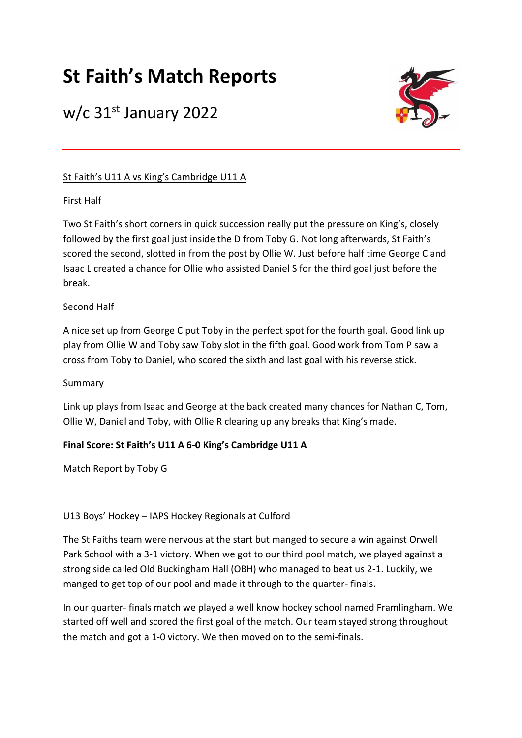# **St Faith's Match Reports**

## w/c 31st January 2022



### St Faith's U11 A vs King's Cambridge U11 A

### First Half

Two St Faith's short corners in quick succession really put the pressure on King's, closely followed by the first goal just inside the D from Toby G. Not long afterwards, St Faith's scored the second, slotted in from the post by Ollie W. Just before half time George C and Isaac L created a chance for Ollie who assisted Daniel S for the third goal just before the break.

### Second Half

A nice set up from George C put Toby in the perfect spot for the fourth goal. Good link up play from Ollie W and Toby saw Toby slot in the fifth goal. Good work from Tom P saw a cross from Toby to Daniel, who scored the sixth and last goal with his reverse stick.

### Summary

Link up plays from Isaac and George at the back created many chances for Nathan C, Tom, Ollie W, Daniel and Toby, with Ollie R clearing up any breaks that King's made.

### **Final Score: St Faith's U11 A 6-0 King's Cambridge U11 A**

Match Report by Toby G

### U13 Boys' Hockey – IAPS Hockey Regionals at Culford

The St Faiths team were nervous at the start but manged to secure a win against Orwell Park School with a 3-1 victory. When we got to our third pool match, we played against a strong side called Old Buckingham Hall (OBH) who managed to beat us 2-1. Luckily, we manged to get top of our pool and made it through to the quarter- finals.

In our quarter- finals match we played a well know hockey school named Framlingham. We started off well and scored the first goal of the match. Our team stayed strong throughout the match and got a 1-0 victory. We then moved on to the semi-finals.